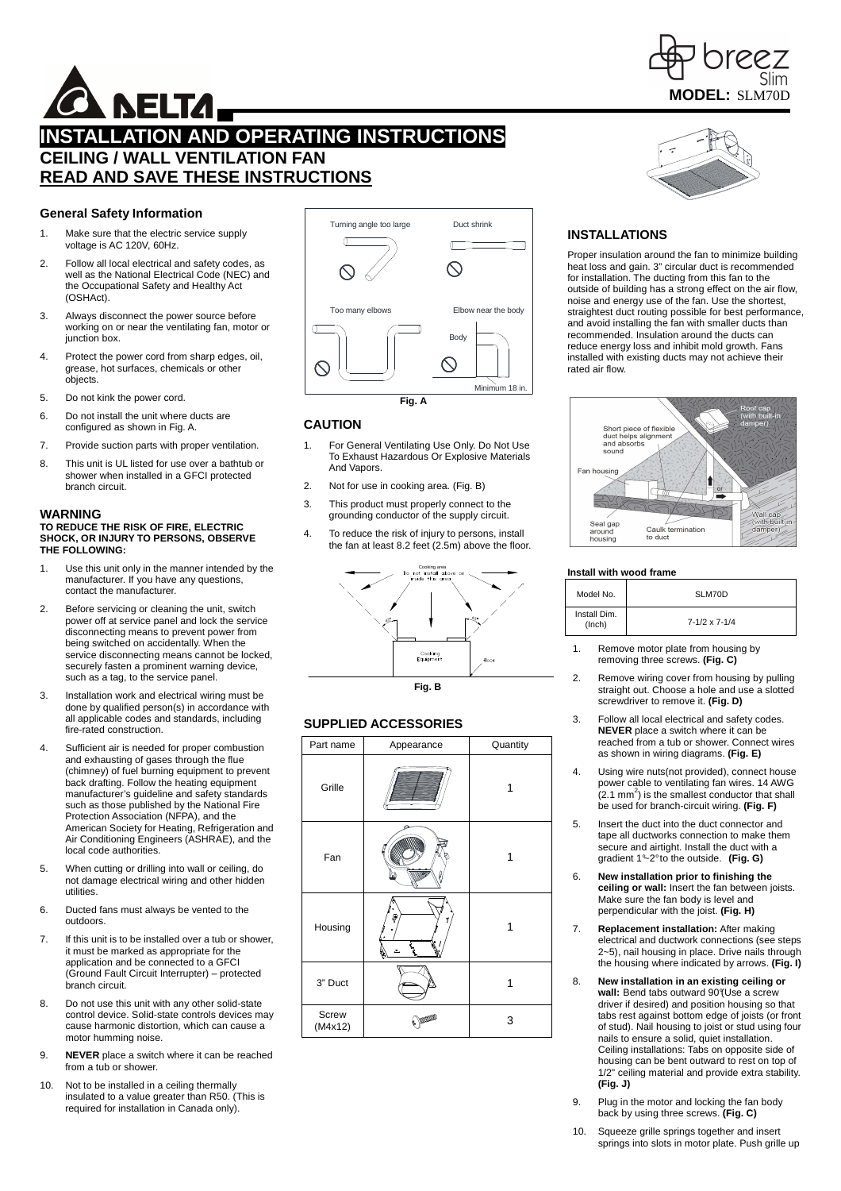

# **NELTA,**

# **INSTALLATION AND OPERATING INSTRUCTIONS CEILING / WALL VENTILATION FAN READ AND SAVE THESE INSTRUCTIONS**

# **General Safety Information**

- 1. Make sure that the electric service supply voltage is AC 120V, 60Hz.
- 2. Follow all local electrical and safety codes, as well as the National Electrical Code (NEC) and the Occupational Safety and Healthy Act (OSHAct).
- 3. Always disconnect the power source before working on or near the ventilating fan, motor or junction box.
- 4. Protect the power cord from sharp edges, oil, grease, hot surfaces, chemicals or other **objects**
- 5. Do not kink the power cord.
- 6. Do not install the unit where ducts are configured as shown in Fig. A.
- 7. Provide suction parts with proper ventilation.
- 8. This unit is UL listed for use over a bathtub or shower when installed in a GFCI protected branch circuit.

#### **WARNING TO REDUCE THE RISK OF FIRE, ELECTRIC SHOCK, OR INJURY TO PERSONS, OBSERVE THE FOLLOWING:**

- 1. Use this unit only in the manner intended by the manufacturer. If you have any questions, contact the manufacturer.
- 2. Before servicing or cleaning the unit, switch power off at service panel and lock the service disconnecting means to prevent power from being switched on accidentally. When the service disconnecting means cannot be locked, securely fasten a prominent warning device, such as a tag, to the service panel.
- 3. Installation work and electrical wiring must be done by qualified person(s) in accordance with all applicable codes and standards, including fire-rated construction.
- 4. Sufficient air is needed for proper combustion and exhausting of gases through the flue (chimney) of fuel burning equipment to prevent back drafting. Follow the heating equipment manufacturer's guideline and safety standards such as those published by the National Fire Protection Association (NFPA), and the American Society for Heating, Refrigeration and Air Conditioning Engineers (ASHRAE), and the local code authorities.
- 5. When cutting or drilling into wall or ceiling, do not damage electrical wiring and other hidden utilities.
- 6. Ducted fans must always be vented to the outdoors.
- 7. If this unit is to be installed over a tub or shower, it must be marked as appropriate for the application and be connected to a GFCI (Ground Fault Circuit Interrupter) – protected branch circuit.
- 8. Do not use this unit with any other solid-state control device. Solid-state controls devices may cause harmonic distortion, which can cause a motor humming noise.
- 9. **NEVER** place a switch where it can be reached from a tub or shower.
- 10. Not to be installed in a ceiling thermally insulated to a value greater than R50. (This is required for installation in Canada only).



# **CAUTION**

- 1. For General Ventilating Use Only. Do Not Use To Exhaust Hazardous Or Explosive Materials And Vapors.
- 2. Not for use in cooking area. (Fig. B)
- 3. This product must properly connect to the grounding conductor of the supply circuit.
- 4. To reduce the risk of injury to persons, install the fan at least 8.2 feet (2.5m) above the floor.



**Fig. B** 

# **SUPPLIED ACCESSORIES**

| Part name        | Appearance | Quantity |  |
|------------------|------------|----------|--|
| Grille           |            |          |  |
| Fan              |            |          |  |
| Housing          | ₽<br>7     |          |  |
| 3" Duct          |            |          |  |
| Screw<br>(M4x12) | m          | 3        |  |

# **INSTALLATIONS**

Proper insulation around the fan to minimize building heat loss and gain. 3" circular duct is recommended for installation. The ducting from this fan to the outside of building has a strong effect on the air flow, noise and energy use of the fan. Use the shortest, straightest duct routing possible for best performance, and avoid installing the fan with smaller ducts than recommended. Insulation around the ducts can reduce energy loss and inhibit mold growth. Fans installed with existing ducts may not achieve their rated air flow.



# **Install with wood frame**

| Model No.              | SLM70D                   |
|------------------------|--------------------------|
| Install Dim.<br>(Inch) | $7 - 1/2 \times 7 - 1/4$ |

- 1. Remove motor plate from housing by removing three screws. **(Fig. C)**
- 2. Remove wiring cover from housing by pulling straight out. Choose a hole and use a slotted screwdriver to remove it. **(Fig. D)**
- 3. Follow all local electrical and safety codes. **NEVER** place a switch where it can be reached from a tub or shower. Connect wires as shown in wiring diagrams. **(Fig. E)**
- 4. Using wire nuts(not provided), connect house power cable to ventilating fan wires. 14 AWG  $(2.1 \text{ mm}^2)$  is the smallest conductor that shall be used for branch-circuit wiring. **(Fig. F)**
- 5. Insert the duct into the duct connector and tape all ductworks connection to make them secure and airtight. Install the duct with a gradient 1°~2° to the outside. **(Fig. G)**
- 6. **New installation prior to finishing the ceiling or wall:** Insert the fan between joists. Make sure the fan body is level and perpendicular with the joist. **(Fig. H)**
- 7. **Replacement installation:** After making electrical and ductwork connections (see steps 2~5), nail housing in place. Drive nails through the housing where indicated by arrows. **(Fig. I)**
- 8. **New installation in an existing ceiling or**  wall: Bend tabs outward 90°(Use a screw driver if desired) and position housing so that tabs rest against bottom edge of joists (or front of stud). Nail housing to joist or stud using four nails to ensure a solid, quiet installation. Ceiling installations: Tabs on opposite side of housing can be bent outward to rest on top of 1/2" ceiling material and provide extra stability. **(Fig. J)**
- 9. Plug in the motor and locking the fan body back by using three screws. **(Fig. C)**
- 10. Squeeze grille springs together and insert springs into slots in motor plate. Push grille up